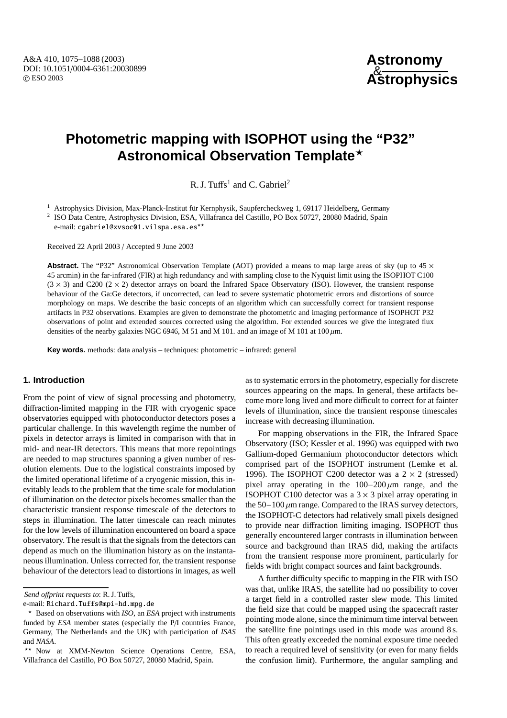# **Photometric mapping with ISOPHOT using the "P32" Astronomical Observation Template**?

R. J. Tuffs<sup>1</sup> and C. Gabriel<sup>2</sup>

<sup>1</sup> Astrophysics Division, Max-Planck-Institut für Kernphysik, Saupfercheckweg 1, 69117 Heidelberg, Germany

<sup>2</sup> ISO Data Centre, Astrophysics Division, ESA, Villafranca del Castillo, PO Box 50727, 28080 Madrid, Spain e-mail: cgabriel@xvsoc01.vilspa.esa.es\*\*

Received 22 April 2003 / Accepted 9 June 2003

**Abstract.** The "P32" Astronomical Observation Template (AOT) provided a means to map large areas of sky (up to 45  $\times$ 45 arcmin) in the far-infrared (FIR) at high redundancy and with sampling close to the Nyquist limit using the ISOPHOT C100  $(3 \times 3)$  and C200  $(2 \times 2)$  detector arrays on board the Infrared Space Observatory (ISO). However, the transient response behaviour of the Ga:Ge detectors, if uncorrected, can lead to severe systematic photometric errors and distortions of source morphology on maps. We describe the basic concepts of an algorithm which can successfully correct for transient response artifacts in P32 observations. Examples are given to demonstrate the photometric and imaging performance of ISOPHOT P32 observations of point and extended sources corrected using the algorithm. For extended sources we give the integrated flux densities of the nearby galaxies NGC 6946, M 51 and M 101. and an image of M 101 at  $100 \,\mu m$ .

**Key words.** methods: data analysis – techniques: photometric – infrared: general

# **1. Introduction**

From the point of view of signal processing and photometry, diffraction-limited mapping in the FIR with cryogenic space observatories equipped with photoconductor detectors poses a particular challenge. In this wavelength regime the number of pixels in detector arrays is limited in comparison with that in mid- and near-IR detectors. This means that more repointings are needed to map structures spanning a given number of resolution elements. Due to the logistical constraints imposed by the limited operational lifetime of a cryogenic mission, this inevitably leads to the problem that the time scale for modulation of illumination on the detector pixels becomes smaller than the characteristic transient response timescale of the detectors to steps in illumination. The latter timescale can reach minutes for the low levels of illumination encountered on board a space observatory. The result is that the signals from the detectors can depend as much on the illumination history as on the instantaneous illumination. Unless corrected for, the transient response behaviour of the detectors lead to distortions in images, as well

*Send o*ff*print requests to*: R. J. Tuffs,

e-mail: Richard.Tuffs@mpi-hd.mpg.de

as to systematic errors in the photometry, especially for discrete sources appearing on the maps. In general, these artifacts become more long lived and more difficult to correct for at fainter levels of illumination, since the transient response timescales increase with decreasing illumination.

For mapping observations in the FIR, the Infrared Space Observatory (ISO; Kessler et al. 1996) was equipped with two Gallium-doped Germanium photoconductor detectors which comprised part of the ISOPHOT instrument (Lemke et al. 1996). The ISOPHOT C200 detector was a  $2 \times 2$  (stressed) pixel array operating in the  $100-200 \mu m$  range, and the ISOPHOT C100 detector was a  $3 \times 3$  pixel array operating in the  $50-100 \mu m$  range. Compared to the IRAS survey detectors, the ISOPHOT-C detectors had relatively small pixels designed to provide near diffraction limiting imaging. ISOPHOT thus generally encountered larger contrasts in illumination between source and background than IRAS did, making the artifacts from the transient response more prominent, particularly for fields with bright compact sources and faint backgrounds.

A further difficulty specific to mapping in the FIR with ISO was that, unlike IRAS, the satellite had no possibility to cover a target field in a controlled raster slew mode. This limited the field size that could be mapped using the spacecraft raster pointing mode alone, since the minimum time interval between the satellite fine pointings used in this mode was around 8 s. This often greatly exceeded the nominal exposure time needed to reach a required level of sensitivity (or even for many fields the confusion limit). Furthermore, the angular sampling and

<sup>?</sup> Based on observations with *ISO*, an *ESA* project with instruments funded by *ESA* member states (especially the P/I countries France, Germany, The Netherlands and the UK) with participation of *ISAS* and *NASA*.

<sup>\*\*</sup> Now at XMM-Newton Science Operations Centre, ESA, Villafranca del Castillo, PO Box 50727, 28080 Madrid, Spain.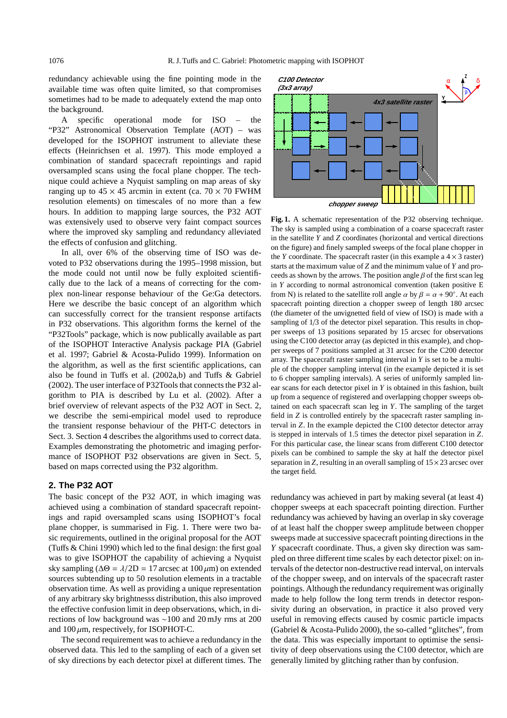redundancy achievable using the fine pointing mode in the available time was often quite limited, so that compromises sometimes had to be made to adequately extend the map onto the background.

A specific operational mode for ISO – the "P32" Astronomical Observation Template (AOT) – was developed for the ISOPHOT instrument to alleviate these effects (Heinrichsen et al. 1997). This mode employed a combination of standard spacecraft repointings and rapid oversampled scans using the focal plane chopper. The technique could achieve a Nyquist sampling on map areas of sky ranging up to  $45 \times 45$  arcmin in extent (ca.  $70 \times 70$  FWHM resolution elements) on timescales of no more than a few hours. In addition to mapping large sources, the P32 AOT was extensively used to observe very faint compact sources where the improved sky sampling and redundancy alleviated the effects of confusion and glitching.

In all, over 6% of the observing time of ISO was devoted to P32 observations during the 1995–1998 mission, but the mode could not until now be fully exploited scientifically due to the lack of a means of correcting for the complex non-linear response behaviour of the Ge:Ga detectors. Here we describe the basic concept of an algorithm which can successfully correct for the transient response artifacts in P32 observations. This algorithm forms the kernel of the "P32Tools" package, which is now publically available as part of the ISOPHOT Interactive Analysis package PIA (Gabriel et al. 1997; Gabriel & Acosta-Pulido 1999). Information on the algorithm, as well as the first scientific applications, can also be found in Tuffs et al. (2002a,b) and Tuffs & Gabriel (2002). The user interface of P32Tools that connects the P32 algorithm to PIA is described by Lu et al. (2002). After a brief overview of relevant aspects of the P32 AOT in Sect. 2, we describe the semi-empirical model used to reproduce the transient response behaviour of the PHT-C detectors in Sect. 3. Section 4 describes the algorithms used to correct data. Examples demonstrating the photometric and imaging performance of ISOPHOT P32 observations are given in Sect. 5, based on maps corrected using the P32 algorithm.

## **2. The P32 AOT**

The basic concept of the P32 AOT, in which imaging was achieved using a combination of standard spacecraft repointings and rapid oversampled scans using ISOPHOT's focal plane chopper, is summarised in Fig. 1. There were two basic requirements, outlined in the original proposal for the AOT (Tuffs & Chini 1990) which led to the final design: the first goal was to give ISOPHOT the capability of achieving a Nyquist sky sampling ( $\Delta\Theta = \lambda/2D = 17$  arcsec at  $100 \,\mu\text{m}$ ) on extended sources subtending up to 50 resolution elements in a tractable observation time. As well as providing a unique representation of any arbitrary sky brightnesss distribution, this also improved the effective confusion limit in deep observations, which, in directions of low background was ∼100 and 20 mJy rms at 200 and  $100 \mu$ m, respectively, for ISOPHOT-C.

The second requirement was to achieve a redundancy in the observed data. This led to the sampling of each of a given set of sky directions by each detector pixel at different times. The



**Fig. 1.** A schematic representation of the P32 observing technique. The sky is sampled using a combination of a coarse spacecraft raster in the satellite *Y* and *Z* coordinates (horizontal and vertical directions on the figure) and finely sampled sweeps of the focal plane chopper in the *Y* coordinate. The spacecraft raster (in this example a  $4 \times 3$  raster) starts at the maximum value of *Z* and the minimum value of *Y* and proceeds as shown by the arrows. The position angle  $\beta$  of the first scan leg in *Y* according to normal astronomical convention (taken positive E from N) is related to the satellite roll angle  $\alpha$  by  $\beta = \alpha + 90^\circ$ . At each spacecraft pointing direction a chopper sweep of length 180 arcsec (the diameter of the unvignetted field of view of ISO) is made with a sampling of 1/3 of the detector pixel separation. This results in chopper sweeps of 13 positions separated by 15 arcsec for observations using the C100 detector array (as depicted in this example), and chopper sweeps of 7 positions sampled at 31 arcsec for the C200 detector array. The spacecraft raster sampling interval in *Y* is set to be a multiple of the chopper sampling interval (in the example depicted it is set to 6 chopper sampling intervals). A series of uniformly sampled linear scans for each detector pixel in *Y* is obtained in this fashion, built up from a sequence of registered and overlapping chopper sweeps obtained on each spacecraft scan leg in *Y*. The sampling of the target field in *Z* is controlled entirely by the spacecraft raster sampling interval in *Z*. In the example depicted the C100 detector detector array is stepped in intervals of 1.5 times the detector pixel separation in *Z*. For this particular case, the linear scans from different C100 detector pixels can be combined to sample the sky at half the detector pixel separation in *Z*, resulting in an overall sampling of  $15 \times 23$  arcsec over the target field.

redundancy was achieved in part by making several (at least 4) chopper sweeps at each spacecraft pointing direction. Further redundancy was achieved by having an overlap in sky coverage of at least half the chopper sweep amplitude between chopper sweeps made at successive spacecraft pointing directions in the *Y* spacecraft coordinate. Thus, a given sky direction was sampled on three different time scales by each detector pixel: on intervals of the detector non-destructive read interval, on intervals of the chopper sweep, and on intervals of the spacecraft raster pointings. Although the redundancy requirement was originally made to help follow the long term trends in detector responsivity during an observation, in practice it also proved very useful in removing effects caused by cosmic particle impacts (Gabriel & Acosta-Pulido 2000), the so-called "glitches", from the data. This was especially important to optimise the sensitivity of deep observations using the C100 detector, which are generally limited by glitching rather than by confusion.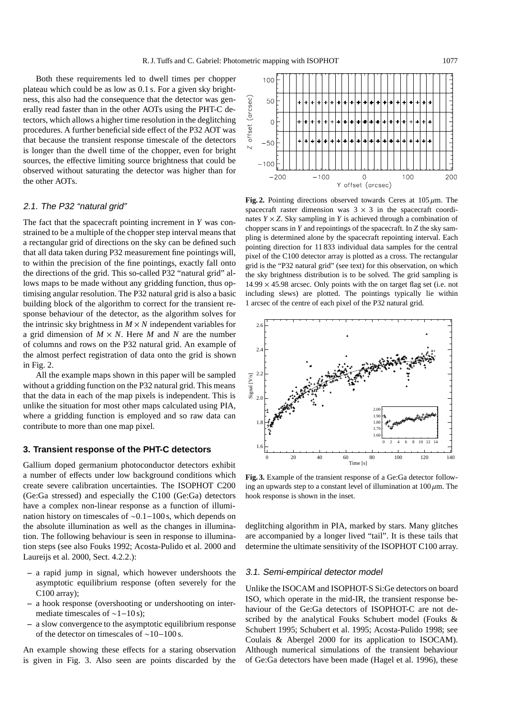Both these requirements led to dwell times per chopper plateau which could be as low as 0.1 s. For a given sky brightness, this also had the consequence that the detector was generally read faster than in the other AOTs using the PHT-C detectors, which allows a higher time resolution in the deglitching procedures. A further beneficial side effect of the P32 AOT was that because the transient response timescale of the detectors is longer than the dwell time of the chopper, even for bright sources, the effective limiting source brightness that could be observed without saturating the detector was higher than for the other AOTs.

## 2.1. The P32 "natural grid"

The fact that the spacecraft pointing increment in *Y* was constrained to be a multiple of the chopper step interval means that a rectangular grid of directions on the sky can be defined such that all data taken during P32 measurement fine pointings will, to within the precision of the fine pointings, exactly fall onto the directions of the grid. This so-called P32 "natural grid" allows maps to be made without any gridding function, thus optimising angular resolution. The P32 natural grid is also a basic building block of the algorithm to correct for the transient response behaviour of the detector, as the algorithm solves for the intrinsic sky brightness in  $M \times N$  independent variables for a grid dimension of  $M \times N$ . Here M and N are the number of columns and rows on the P32 natural grid. An example of the almost perfect registration of data onto the grid is shown in Fig. 2.

All the example maps shown in this paper will be sampled without a gridding function on the P32 natural grid. This means that the data in each of the map pixels is independent. This is unlike the situation for most other maps calculated using PIA, where a gridding function is employed and so raw data can contribute to more than one map pixel.

#### **3. Transient response of the PHT-C detectors**

Gallium doped germanium photoconductor detectors exhibit a number of effects under low background conditions which create severe calibration uncertainties. The ISOPHOT C200 (Ge:Ga stressed) and especially the C100 (Ge:Ga) detectors have a complex non-linear response as a function of illumination history on timescales of ∼0.1−100 s, which depends on the absolute illumination as well as the changes in illumination. The following behaviour is seen in response to illumination steps (see also Fouks 1992; Acosta-Pulido et al. 2000 and Laureijs et al. 2000, Sect. 4.2.2.):

- **–** a rapid jump in signal, which however undershoots the asymptotic equilibrium response (often severely for the C100 array);
- **–** a hook response (overshooting or undershooting on intermediate timescales of  $\sim$ 1−10 s);
- **–** a slow convergence to the asymptotic equilibrium response of the detector on timescales of ∼10−100 s.

An example showing these effects for a staring observation is given in Fig. 3. Also seen are points discarded by the



**Fig. 2.** Pointing directions observed towards Ceres at  $105 \mu m$ . The spacecraft raster dimension was  $3 \times 3$  in the spacecraft coordinates  $Y \times Z$ . Sky sampling in *Y* is achieved through a combination of chopper scans in *Y* and repointings of the spacecraft. In *Z* the sky sampling is determined alone by the spacecraft repointing interval. Each pointing direction for 11 833 individual data samples for the central pixel of the C100 detector array is plotted as a cross. The rectangular grid is the "P32 natural grid" (see text) for this observation, on which the sky brightness distribution is to be solved. The grid sampling is  $14.99 \times 45.98$  arcsec. Only points with the on target flag set (i.e. not including slews) are plotted. The pointings typically lie within 1 arcsec of the centre of each pixel of the P32 natural grid.



**Fig. 3.** Example of the transient response of a Ge:Ga detector following an upwards step to a constant level of illumination at  $100 \mu m$ . The hook response is shown in the inset.

deglitching algorithm in PIA, marked by stars. Many glitches are accompanied by a longer lived "tail". It is these tails that determine the ultimate sensitivity of the ISOPHOT C100 array.

## 3.1. Semi-empirical detector model

Unlike the ISOCAM and ISOPHOT-S Si:Ge detectors on board ISO, which operate in the mid-IR, the transient response behaviour of the Ge:Ga detectors of ISOPHOT-C are not described by the analytical Fouks Schubert model (Fouks & Schubert 1995; Schubert et al. 1995; Acosta-Pulido 1998; see Coulais & Abergel 2000 for its application to ISOCAM). Although numerical simulations of the transient behaviour of Ge:Ga detectors have been made (Hagel et al. 1996), these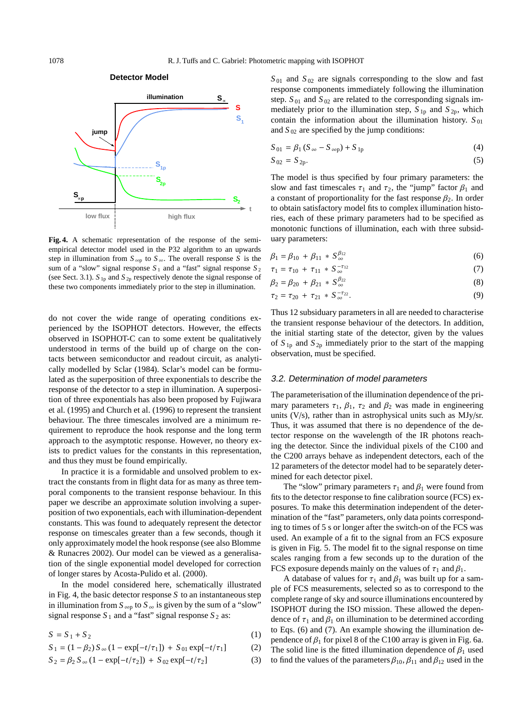

**Fig. 4.** A schematic representation of the response of the semiempirical detector model used in the P32 algorithm to an upwards step in illumination from  $S_{\infty p}$  to  $S_{\infty}$ . The overall response *S* is the sum of a "slow" signal response  $S_1$  and a "fast" signal response  $S_2$ (see Sect. 3.1).  $S_{1p}$  and  $S_{2p}$  respectively denote the signal response of these two components immediately prior to the step in illumination.

do not cover the wide range of operating conditions experienced by the ISOPHOT detectors. However, the effects observed in ISOPHOT-C can to some extent be qualitatively understood in terms of the build up of charge on the contacts between semiconductor and readout circuit, as analytically modelled by Sclar (1984). Sclar's model can be formulated as the superposition of three exponentials to describe the response of the detector to a step in illumination. A superposition of three exponentials has also been proposed by Fujiwara et al. (1995) and Church et al. (1996) to represent the transient behaviour. The three timescales involved are a minimum requirement to reproduce the hook response and the long term approach to the asymptotic response. However, no theory exists to predict values for the constants in this representation, and thus they must be found empirically.

In practice it is a formidable and unsolved problem to extract the constants from in flight data for as many as three temporal components to the transient response behaviour. In this paper we describe an approximate solution involving a superposition of two exponentials, each with illumination-dependent constants. This was found to adequately represent the detector response on timescales greater than a few seconds, though it only approximately model the hook response (see also Blomme & Runacres 2002). Our model can be viewed as a generalisation of the single exponential model developed for correction of longer stares by Acosta-Pulido et al. (2000).

In the model considered here, schematically illustrated in Fig. 4, the basic detector response  $S$  to an instantaneous step in illumination from  $S_{\infty p}$  to  $S_{\infty}$  is given by the sum of a "slow" signal response  $S_1$  and a "fast" signal response  $S_2$  as:

$$
S = S_1 + S_2 \tag{1}
$$

$$
S_1 = (1 - \beta_2) S_{\infty} (1 - \exp[-t/\tau_1]) + S_{01} \exp[-t/\tau_1]
$$
 (2)

$$
S_2 = \beta_2 S_{\infty} (1 - \exp[-t/\tau_2]) + S_{02} \exp[-t/\tau_2]
$$
 (3)

 $S_{01}$  and  $S_{02}$  are signals corresponding to the slow and fast response components immediately following the illumination step.  $S_{01}$  and  $S_{02}$  are related to the corresponding signals immediately prior to the illumination step,  $S_{1p}$  and  $S_{2p}$ , which contain the information about the illumination history.  $S_{01}$ and  $S_{02}$  are specified by the jump conditions:

$$
S_{01} = \beta_1 (S_{\infty} - S_{\infty p}) + S_{1p}
$$
 (4)

 $S_{02} = S_{2p}$ . (5)

The model is thus specified by four primary parameters: the slow and fast timescales  $\tau_1$  and  $\tau_2$ , the "jump" factor  $\beta_1$  and a constant of proportionality for the fast response  $\beta_2$ . In order to obtain satisfactory model fits to complex illumination histories, each of these primary parameters had to be specified as monotonic functions of illumination, each with three subsiduary parameters:

$$
\beta_1 = \beta_{10} + \beta_{11} * S_{\infty}^{\beta_{12}} \tag{6}
$$

$$
\tau_1 = \tau_{10} + \tau_{11} * S_{\infty}^{-\tau_{12}} \tag{7}
$$

$$
\beta_2 = \beta_{20} + \beta_{21} * S_{\infty}^{\beta_{22}} \tag{8}
$$

$$
\tau_2 = \tau_{20} + \tau_{21} * S_{\infty}^{-\tau_{22}}.
$$
\n(9)

Thus 12 subsiduary parameters in all are needed to characterise the transient response behaviour of the detectors. In addition, the initial starting state of the detector, given by the values of  $S_{1p}$  and  $S_{2p}$  immediately prior to the start of the mapping observation, must be specified.

## 3.2. Determination of model parameters

The parameterisation of the illumination dependence of the primary parameters  $\tau_1$ ,  $\beta_1$ ,  $\tau_2$  and  $\beta_2$  was made in engineering units (V/s), rather than in astrophysical units such as MJy/sr. Thus, it was assumed that there is no dependence of the detector response on the wavelength of the IR photons reaching the detector. Since the individual pixels of the C100 and the C200 arrays behave as independent detectors, each of the 12 parameters of the detector model had to be separately determined for each detector pixel.

The "slow" primary parameters  $\tau_1$  and  $\beta_1$  were found from fits to the detector response to fine calibration source (FCS) exposures. To make this determination independent of the determination of the "fast" parameters, only data points corresponding to times of 5 s or longer after the switch-on of the FCS was used. An example of a fit to the signal from an FCS exposure is given in Fig. 5. The model fit to the signal response on time scales ranging from a few seconds up to the duration of the FCS exposure depends mainly on the values of  $\tau_1$  and  $\beta_1$ .

A database of values for  $\tau_1$  and  $\beta_1$  was built up for a sample of FCS measurements, selected so as to correspond to the complete range of sky and source illuminations encountered by ISOPHOT during the ISO mission. These allowed the dependence of  $\tau_1$  and  $\beta_1$  on illumination to be determined according to Eqs. (6) and (7). An example showing the illumination dependence of  $\beta_1$  for pixel 8 of the C100 array is given in Fig. 6a. The solid line is the fitted illumination dependence of  $\beta_1$  used to find the values of the parameters  $\beta_{10}, \beta_{11}$  and  $\beta_{12}$  used in the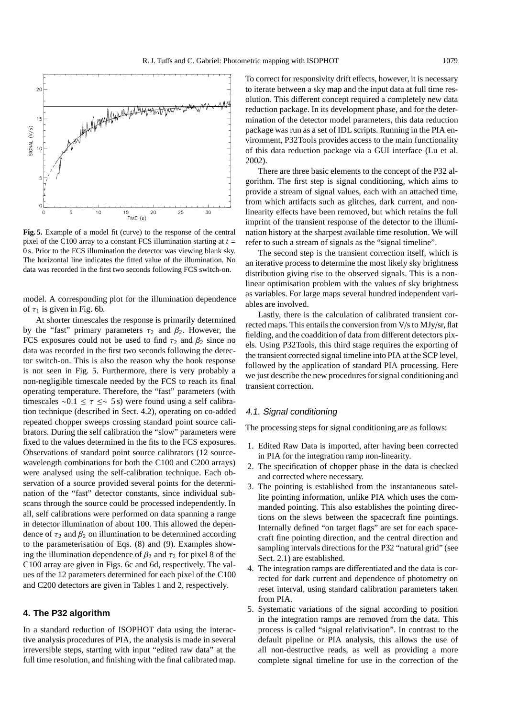

**Fig. 5.** Example of a model fit (curve) to the response of the central pixel of the C100 array to a constant FCS illumination starting at  $t =$ 0 s. Prior to the FCS illumination the detector was viewing blank sky. The horizontal line indicates the fitted value of the illumination. No data was recorded in the first two seconds following FCS switch-on.

model. A corresponding plot for the illumination dependence of  $\tau_1$  is given in Fig. 6b.

At shorter timescales the response is primarily determined by the "fast" primary parameters  $\tau_2$  and  $\beta_2$ . However, the FCS exposures could not be used to find  $\tau_2$  and  $\beta_2$  since no data was recorded in the first two seconds following the detector switch-on. This is also the reason why the hook response is not seen in Fig. 5. Furthermore, there is very probably a non-negligible timescale needed by the FCS to reach its final operating temperature. Therefore, the "fast" parameters (with timescales ∼0.1  $\leq \tau \leq$  5 s) were found using a self calibration technique (described in Sect. 4.2), operating on co-added repeated chopper sweeps crossing standard point source calibrators. During the self calibration the "slow" parameters were fixed to the values determined in the fits to the FCS exposures. Observations of standard point source calibrators (12 sourcewavelength combinations for both the C100 and C200 arrays) were analysed using the self-calibration technique. Each observation of a source provided several points for the determination of the "fast" detector constants, since individual subscans through the source could be processed independently. In all, self calibrations were performed on data spanning a range in detector illumination of about 100. This allowed the dependence of  $\tau_2$  and  $\beta_2$  on illumination to be determined according to the parameterisation of Eqs. (8) and (9). Examples showing the illumination dependence of  $\beta_2$  and  $\tau_2$  for pixel 8 of the C100 array are given in Figs. 6c and 6d, respectively. The values of the 12 parameters determined for each pixel of the C100 and C200 detectors are given in Tables 1 and 2, respectively.

## **4. The P32 algorithm**

In a standard reduction of ISOPHOT data using the interactive analysis procedures of PIA, the analysis is made in several irreversible steps, starting with input "edited raw data" at the full time resolution, and finishing with the final calibrated map. To correct for responsivity drift effects, however, it is necessary to iterate between a sky map and the input data at full time resolution. This different concept required a completely new data reduction package. In its development phase, and for the determination of the detector model parameters, this data reduction package was run as a set of IDL scripts. Running in the PIA environment, P32Tools provides access to the main functionality of this data reduction package via a GUI interface (Lu et al. 2002).

There are three basic elements to the concept of the P32 algorithm. The first step is signal conditioning, which aims to provide a stream of signal values, each with an attached time, from which artifacts such as glitches, dark current, and nonlinearity effects have been removed, but which retains the full imprint of the transient response of the detector to the illumination history at the sharpest available time resolution. We will refer to such a stream of signals as the "signal timeline".

The second step is the transient correction itself, which is an iterative process to determine the most likely sky brightness distribution giving rise to the observed signals. This is a nonlinear optimisation problem with the values of sky brightness as variables. For large maps several hundred independent variables are involved.

Lastly, there is the calculation of calibrated transient corrected maps. This entails the conversion from V/s to MJy/sr, flat fielding, and the coaddition of data from different detectors pixels. Using P32Tools, this third stage requires the exporting of the transient corrected signal timeline into PIA at the SCP level, followed by the application of standard PIA processing. Here we just describe the new procedures for signal conditioning and transient correction.

#### 4.1. Signal conditioning

The processing steps for signal conditioning are as follows:

- 1. Edited Raw Data is imported, after having been corrected in PIA for the integration ramp non-linearity.
- 2. The specification of chopper phase in the data is checked and corrected where necessary.
- 3. The pointing is established from the instantaneous satellite pointing information, unlike PIA which uses the commanded pointing. This also establishes the pointing directions on the slews between the spacecraft fine pointings. Internally defined "on target flags" are set for each spacecraft fine pointing direction, and the central direction and sampling intervals directions for the P32 "natural grid" (see Sect. 2.1) are established.
- 4. The integration ramps are differentiated and the data is corrected for dark current and dependence of photometry on reset interval, using standard calibration parameters taken from PIA.
- 5. Systematic variations of the signal according to position in the integration ramps are removed from the data. This process is called "signal relativisation". In contrast to the default pipeline or PIA analysis, this allows the use of all non-destructive reads, as well as providing a more complete signal timeline for use in the correction of the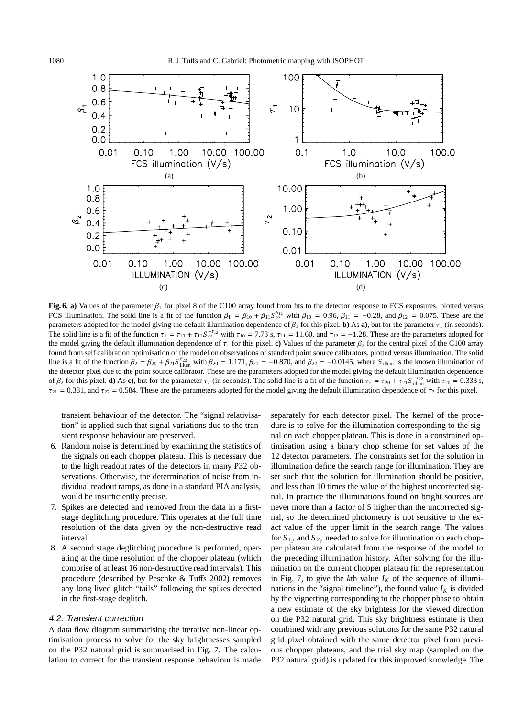

**Fig. 6. a)** Values of the parameter  $\beta_1$  for pixel 8 of the C100 array found from fits to the detector response to FCS exposures, plotted versus FCS illumination. The solid line is a fit of the function  $\beta_1 = \beta_{10} + \beta_{11} S_{\infty}^{\beta_{12}}$  with  $\beta_{10} = 0.96$ ,  $\beta_{11} = -0.28$ , and  $\beta_{12} = 0.075$ . These are the parameters adopted for the model giving the default illumination dependence of  $\beta_1$  for this pixel. **b**) As **a**), but for the parameter  $\tau_1$  (in seconds). The solid line is a fit of the function  $\tau_1 = \tau_{10} + \tau_{11} S_{\infty}^{-\tau_{12}}$  with  $\tau_{10} = 7.73$  s,  $\tau_{11} = 11.60$ , and  $\tau_{12} = -1.28$ . These are the parameters adopted for the model giving the default illumination dependence of  $\tau_1$  for this pixel. **c**) Values of the parameter  $\beta_2$  for the central pixel of the C100 array found from self calibration optimisation of the model on observations of standard point source calibrators, plotted versus illumination. The solid line is a fit of the function  $\beta_2 = \beta_{20} + \beta_{21} S_{\text{illum}}^{\beta_{22}}$  with  $\beta_{20} = 1.171$ ,  $\beta_{21} = -0.870$ , and  $\beta_{22} = -0.0145$ , where  $S_{\text{illum}}$  is the known illumination of the detector pixel due to the point source calibrator. These are the parameters adopted for the model giving the default illumination dependence of  $\beta_2$  for this pixel. **d**) As **c**), but for the parameter  $\tau_2$  (in seconds). The solid line is a fit of the function  $\tau_2 = \tau_{20} + \tau_{21} S_{\text{illum}}^{-\tau_{22}}$  with  $\tau_{20} = 0.333$  s,  $\tau_{21} = 0.381$ , and  $\tau_{22} = 0.584$ . These are the parameters adopted for the model giving the default illumination dependence of  $\tau_2$  for this pixel.

transient behaviour of the detector. The "signal relativisation" is applied such that signal variations due to the transient response behaviour are preserved.

- 6. Random noise is determined by examining the statistics of the signals on each chopper plateau. This is necessary due to the high readout rates of the detectors in many P32 observations. Otherwise, the determination of noise from individual readout ramps, as done in a standard PIA analysis, would be insufficiently precise.
- 7. Spikes are detected and removed from the data in a firststage deglitching procedure. This operates at the full time resolution of the data given by the non-destructive read interval.
- 8. A second stage deglitching procedure is performed, operating at the time resolution of the chopper plateau (which comprise of at least 16 non-destructive read intervals). This procedure (described by Peschke & Tuffs 2002) removes any long lived glitch "tails" following the spikes detected in the first-stage deglitch.

#### 4.2. Transient correction

A data flow diagram summarising the iterative non-linear optimisation process to solve for the sky brightnesses sampled on the P32 natural grid is summarised in Fig. 7. The calculation to correct for the transient response behaviour is made separately for each detector pixel. The kernel of the procedure is to solve for the illumination corresponding to the signal on each chopper plateau. This is done in a constrained optimisation using a binary chop scheme for set values of the 12 detector parameters. The constraints set for the solution in illumination define the search range for illumination. They are set such that the solution for illumination should be positive, and less than 10 times the value of the highest uncorrected signal. In practice the illuminations found on bright sources are never more than a factor of 5 higher than the uncorrected signal, so the determined photometry is not sensitive to the exact value of the upper limit in the search range. The values for  $S_{1p}$  and  $S_{2p}$  needed to solve for illumination on each chopper plateau are calculated from the response of the model to the preceding illumination history. After solving for the illumination on the current chopper plateau (in the representation in Fig. 7, to give the *k*th value  $I_K$  of the sequence of illuminations in the "signal timeline"), the found value  $I_K$  is divided by the vignetting corresponding to the chopper phase to obtain a new estimate of the sky brightess for the viewed direction on the P32 natural grid. This sky brightness estimate is then combined with any previous solutions for the same P32 natural grid pixel obtained with the same detector pixel from previous chopper plateaus, and the trial sky map (sampled on the P32 natural grid) is updated for this improved knowledge. The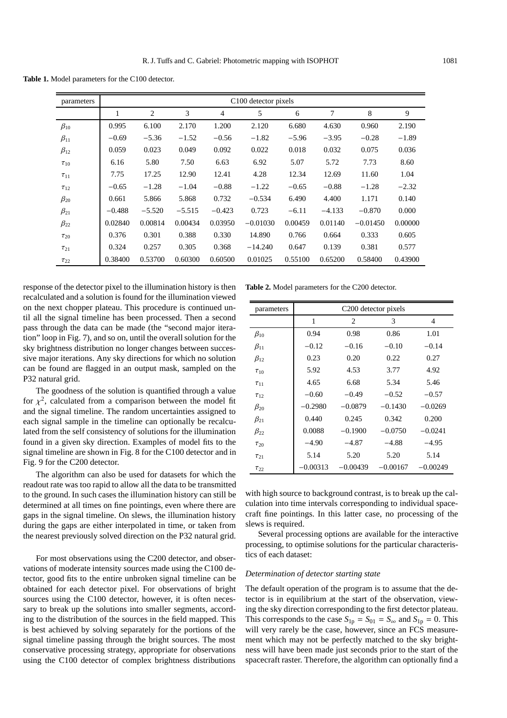**Table 1.** Model parameters for the C100 detector.

| parameters   | C100 detector pixels |                |          |                |            |         |          |            |         |
|--------------|----------------------|----------------|----------|----------------|------------|---------|----------|------------|---------|
|              | 1                    | $\overline{2}$ | 3        | $\overline{4}$ | 5          | 6       | 7        | 8          | 9       |
| $\beta_{10}$ | 0.995                | 6.100          | 2.170    | 1.200          | 2.120      | 6.680   | 4.630    | 0.960      | 2.190   |
| $\beta_{11}$ | $-0.69$              | $-5.36$        | $-1.52$  | $-0.56$        | $-1.82$    | $-5.96$ | $-3.95$  | $-0.28$    | $-1.89$ |
| $\beta_{12}$ | 0.059                | 0.023          | 0.049    | 0.092          | 0.022      | 0.018   | 0.032    | 0.075      | 0.036   |
| $\tau_{10}$  | 6.16                 | 5.80           | 7.50     | 6.63           | 6.92       | 5.07    | 5.72     | 7.73       | 8.60    |
| $\tau_{11}$  | 7.75                 | 17.25          | 12.90    | 12.41          | 4.28       | 12.34   | 12.69    | 11.60      | 1.04    |
| $\tau_{12}$  | $-0.65$              | $-1.28$        | $-1.04$  | $-0.88$        | $-1.22$    | $-0.65$ | $-0.88$  | $-1.28$    | $-2.32$ |
| $\beta_{20}$ | 0.661                | 5.866          | 5.868    | 0.732          | $-0.534$   | 6.490   | 4.400    | 1.171      | 0.140   |
| $\beta_{21}$ | $-0.488$             | $-5.520$       | $-5.515$ | $-0.423$       | 0.723      | $-6.11$ | $-4.133$ | $-0.870$   | 0.000   |
| $\beta_{22}$ | 0.02840              | 0.00814        | 0.00434  | 0.03950        | $-0.01030$ | 0.00459 | 0.01140  | $-0.01450$ | 0.00000 |
| $\tau_{20}$  | 0.376                | 0.301          | 0.388    | 0.330          | 14.890     | 0.766   | 0.664    | 0.333      | 0.605   |
| $\tau_{21}$  | 0.324                | 0.257          | 0.305    | 0.368          | $-14.240$  | 0.647   | 0.139    | 0.381      | 0.577   |
| $\tau_{22}$  | 0.38400              | 0.53700        | 0.60300  | 0.60500        | 0.01025    | 0.55100 | 0.65200  | 0.58400    | 0.43900 |

response of the detector pixel to the illumination history is then recalculated and a solution is found for the illumination viewed on the next chopper plateau. This procedure is continued until all the signal timeline has been processed. Then a second pass through the data can be made (the "second major iteration" loop in Fig. 7), and so on, until the overall solution for the sky brightness distribution no longer changes between successive major iterations. Any sky directions for which no solution can be found are flagged in an output mask, sampled on the P32 natural grid.

The goodness of the solution is quantified through a value for  $\chi^2$ , calculated from a comparison between the model fit and the signal timeline. The random uncertainties assigned to each signal sample in the timeline can optionally be recalculated from the self consistency of solutions for the illumination found in a given sky direction. Examples of model fits to the signal timeline are shown in Fig. 8 for the C100 detector and in Fig. 9 for the C200 detector.

The algorithm can also be used for datasets for which the readout rate was too rapid to allow all the data to be transmitted to the ground. In such cases the illumination history can still be determined at all times on fine pointings, even where there are gaps in the signal timeline. On slews, the illumination history during the gaps are either interpolated in time, or taken from the nearest previously solved direction on the P32 natural grid.

For most observations using the C200 detector, and observations of moderate intensity sources made using the C100 detector, good fits to the entire unbroken signal timeline can be obtained for each detector pixel. For observations of bright sources using the C100 detector, however, it is often necessary to break up the solutions into smaller segments, according to the distribution of the sources in the field mapped. This is best achieved by solving separately for the portions of the signal timeline passing through the bright sources. The most conservative processing strategy, appropriate for observations using the C100 detector of complex brightness distributions

**Table 2.** Model parameters for the C200 detector.

| parameters   | C <sub>200</sub> detector pixels |            |            |            |  |  |  |
|--------------|----------------------------------|------------|------------|------------|--|--|--|
|              | 1                                | 2          | 3          | 4          |  |  |  |
| $\beta_{10}$ | 0.94                             | 0.98       | 0.86       | 1.01       |  |  |  |
| $\beta_{11}$ | $-0.12$                          | $-0.16$    | $-0.10$    | $-0.14$    |  |  |  |
| $\beta_{12}$ | 0.23                             | 0.20       | 0.22       | 0.27       |  |  |  |
| $\tau_{10}$  | 5.92                             | 4.53       | 3.77       | 4.92       |  |  |  |
| $\tau_{11}$  | 4.65                             | 6.68       | 5.34       | 5.46       |  |  |  |
| $\tau_{12}$  | $-0.60$                          | $-0.49$    | $-0.52$    | $-0.57$    |  |  |  |
| $\beta_{20}$ | $-0.2980$                        | $-0.0879$  | $-0.1430$  | $-0.0269$  |  |  |  |
| $\beta_{21}$ | 0.440                            | 0.245      | 0.342      | 0.200      |  |  |  |
| $\beta_{22}$ | 0.0088                           | $-0.1900$  | $-0.0750$  | $-0.0241$  |  |  |  |
| $\tau_{20}$  | $-4.90$                          | $-4.87$    | $-4.88$    | $-4.95$    |  |  |  |
| $\tau_{21}$  | 5.14                             | 5.20       | 5.20       | 5.14       |  |  |  |
| $\tau_{22}$  | $-0.00313$                       | $-0.00439$ | $-0.00167$ | $-0.00249$ |  |  |  |

with high source to background contrast, is to break up the calculation into time intervals corresponding to individual spacecraft fine pointings. In this latter case, no processing of the slews is required.

Several processing options are available for the interactive processing, to optimise solutions for the particular characteristics of each dataset:

## *Determination of detector starting state*

The default operation of the program is to assume that the detector is in equilibrium at the start of the observation, viewing the sky direction corresponding to the first detector plateau. This corresponds to the case  $S_{1p} = S_{01} = S_{\infty}$  and  $S_{1p} = 0$ . This will very rarely be the case, however, since an FCS measurement which may not be perfectly matched to the sky brightness will have been made just seconds prior to the start of the spacecraft raster. Therefore, the algorithm can optionally find a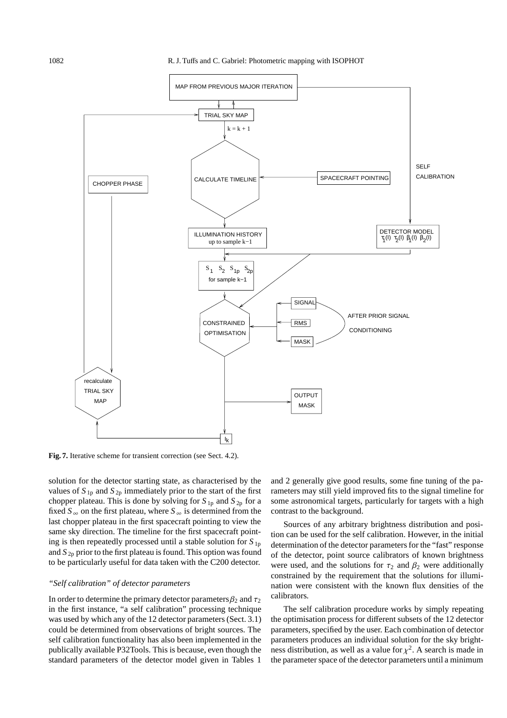

**Fig. 7.** Iterative scheme for transient correction (see Sect. 4.2).

solution for the detector starting state, as characterised by the values of  $S_{1p}$  and  $S_{2p}$  immediately prior to the start of the first chopper plateau. This is done by solving for  $S_{1p}$  and  $S_{2p}$  for a fixed  $S_{\infty}$  on the first plateau, where  $S_{\infty}$  is determined from the last chopper plateau in the first spacecraft pointing to view the same sky direction. The timeline for the first spacecraft pointing is then repeatedly processed until a stable solution for *S* 1p and *S* 2p prior to the first plateau is found. This option was found to be particularly useful for data taken with the C200 detector.

# *"Self calibration" of detector parameters*

In order to determine the primary detector parameters  $\beta_2$  and  $\tau_2$ in the first instance, "a self calibration" processing technique was used by which any of the 12 detector parameters (Sect. 3.1) could be determined from observations of bright sources. The self calibration functionality has also been implemented in the publically available P32Tools. This is because, even though the standard parameters of the detector model given in Tables 1

and 2 generally give good results, some fine tuning of the parameters may still yield improved fits to the signal timeline for some astronomical targets, particularly for targets with a high contrast to the background.

Sources of any arbitrary brightness distribution and position can be used for the self calibration. However, in the initial determination of the detector parameters for the "fast" response of the detector, point source calibrators of known brightness were used, and the solutions for  $\tau_2$  and  $\beta_2$  were additionally constrained by the requirement that the solutions for illumination were consistent with the known flux densities of the calibrators.

The self calibration procedure works by simply repeating the optimisation process for different subsets of the 12 detector parameters, specified by the user. Each combination of detector parameters produces an individual solution for the sky brightness distribution, as well as a value for  $\chi^2$ . A search is made in the parameter space of the detector parameters until a minimum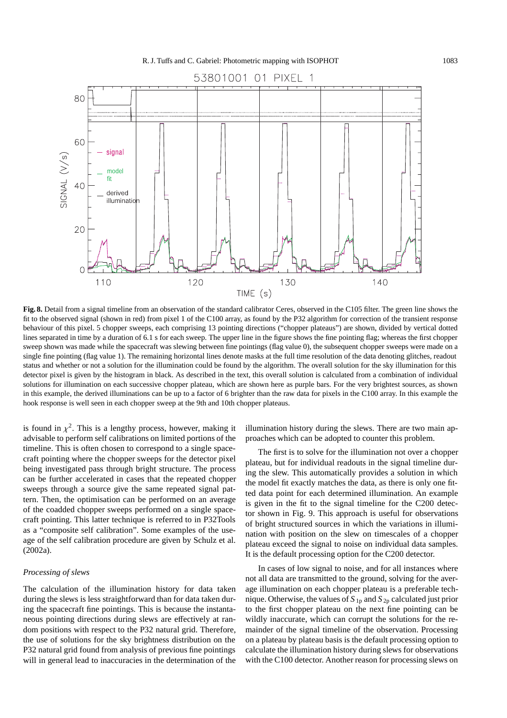

**Fig. 8.** Detail from a signal timeline from an observation of the standard calibrator Ceres, observed in the C105 filter. The green line shows the fit to the observed signal (shown in red) from pixel 1 of the C100 array, as found by the P32 algorithm for correction of the transient response behaviour of this pixel. 5 chopper sweeps, each comprising 13 pointing directions ("chopper plateaus") are shown, divided by vertical dotted lines separated in time by a duration of 6.1 s for each sweep. The upper line in the figure shows the fine pointing flag; whereas the first chopper sweep shown was made while the spacecraft was slewing between fine pointings (flag value 0), the subsequent chopper sweeps were made on a single fine pointing (flag value 1). The remaining horizontal lines denote masks at the full time resolution of the data denoting glitches, readout status and whether or not a solution for the illumination could be found by the algorithm. The overall solution for the sky illumination for this detector pixel is given by the histogram in black. As described in the text, this overall solution is calculated from a combination of individual solutions for illumination on each successive chopper plateau, which are shown here as purple bars. For the very brightest sources, as shown in this example, the derived illuminations can be up to a factor of 6 brighter than the raw data for pixels in the C100 array. In this example the hook response is well seen in each chopper sweep at the 9th and 10th chopper plateaus.

is found in  $\chi^2$ . This is a lengthy process, however, making it advisable to perform self calibrations on limited portions of the timeline. This is often chosen to correspond to a single spacecraft pointing where the chopper sweeps for the detector pixel being investigated pass through bright structure. The process can be further accelerated in cases that the repeated chopper sweeps through a source give the same repeated signal pattern. Then, the optimisation can be performed on an average of the coadded chopper sweeps performed on a single spacecraft pointing. This latter technique is referred to in P32Tools as a "composite self calibration". Some examples of the useage of the self calibration procedure are given by Schulz et al. (2002a).

# *Processing of slews*

The calculation of the illumination history for data taken during the slews is less straightforward than for data taken during the spacecraft fine pointings. This is because the instantaneous pointing directions during slews are effectively at random positions with respect to the P32 natural grid. Therefore, the use of solutions for the sky brightness distribution on the P32 natural grid found from analysis of previous fine pointings will in general lead to inaccuracies in the determination of the

illumination history during the slews. There are two main approaches which can be adopted to counter this problem.

The first is to solve for the illumination not over a chopper plateau, but for individual readouts in the signal timeline during the slew. This automatically provides a solution in which the model fit exactly matches the data, as there is only one fitted data point for each determined illumination. An example is given in the fit to the signal timeline for the C200 detector shown in Fig. 9. This approach is useful for observations of bright structured sources in which the variations in illumination with position on the slew on timescales of a chopper plateau exceed the signal to noise on individual data samples. It is the default processing option for the C200 detector.

In cases of low signal to noise, and for all instances where not all data are transmitted to the ground, solving for the average illumination on each chopper plateau is a preferable technique. Otherwise, the values of  $S_{1p}$  and  $S_{2p}$  calculated just prior to the first chopper plateau on the next fine pointing can be wildly inaccurate, which can corrupt the solutions for the remainder of the signal timeline of the observation. Processing on a plateau by plateau basis is the default processing option to calculate the illumination history during slews for observations with the C100 detector. Another reason for processing slews on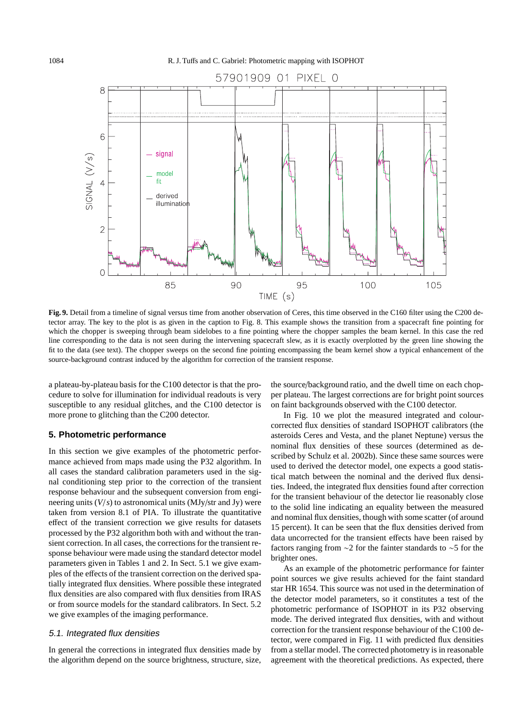

**Fig. 9.** Detail from a timeline of signal versus time from another observation of Ceres, this time observed in the C160 filter using the C200 detector array. The key to the plot is as given in the caption to Fig. 8. This example shows the transition from a spacecraft fine pointing for which the chopper is sweeping through beam sidelobes to a fine pointing where the chopper samples the beam kernel. In this case the red line corresponding to the data is not seen during the intervening spacecraft slew, as it is exactly overplotted by the green line showing the fit to the data (see text). The chopper sweeps on the second fine pointing encompassing the beam kernel show a typical enhancement of the source-background contrast induced by the algorithm for correction of the transient response.

a plateau-by-plateau basis for the C100 detector is that the procedure to solve for illumination for individual readouts is very susceptible to any residual glitches, and the C100 detector is more prone to glitching than the C200 detector.

## **5. Photometric performance**

In this section we give examples of the photometric performance achieved from maps made using the P32 algorithm. In all cases the standard calibration parameters used in the signal conditioning step prior to the correction of the transient response behaviour and the subsequent conversion from engineering units (*V*/*s*) to astronomical units (MJy/str and Jy) were taken from version 8.1 of PIA. To illustrate the quantitative effect of the transient correction we give results for datasets processed by the P32 algorithm both with and without the transient correction. In all cases, the corrections for the transient response behaviour were made using the standard detector model parameters given in Tables 1 and 2. In Sect. 5.1 we give examples of the effects of the transient correction on the derived spatially integrated flux densities. Where possible these integrated flux densities are also compared with flux densities from IRAS or from source models for the standard calibrators. In Sect. 5.2 we give examples of the imaging performance.

## 5.1. Integrated flux densities

In general the corrections in integrated flux densities made by the algorithm depend on the source brightness, structure, size,

the source/background ratio, and the dwell time on each chopper plateau. The largest corrections are for bright point sources on faint backgrounds observed with the C100 detector.

In Fig. 10 we plot the measured integrated and colourcorrected flux densities of standard ISOPHOT calibrators (the asteroids Ceres and Vesta, and the planet Neptune) versus the nominal flux densities of these sources (determined as described by Schulz et al. 2002b). Since these same sources were used to derived the detector model, one expects a good statistical match between the nominal and the derived flux densities. Indeed, the integrated flux densities found after correction for the transient behaviour of the detector lie reasonably close to the solid line indicating an equality between the measured and nominal flux densities, though with some scatter (of around 15 percent). It can be seen that the flux densities derived from data uncorrected for the transient effects have been raised by factors ranging from ∼2 for the fainter standards to ∼5 for the brighter ones.

As an example of the photometric performance for fainter point sources we give results achieved for the faint standard star HR 1654. This source was not used in the determination of the detector model parameters, so it constitutes a test of the photometric performance of ISOPHOT in its P32 observing mode. The derived integrated flux densities, with and without correction for the transient response behaviour of the C100 detector, were compared in Fig. 11 with predicted flux densities from a stellar model. The corrected photometry is in reasonable agreement with the theoretical predictions. As expected, there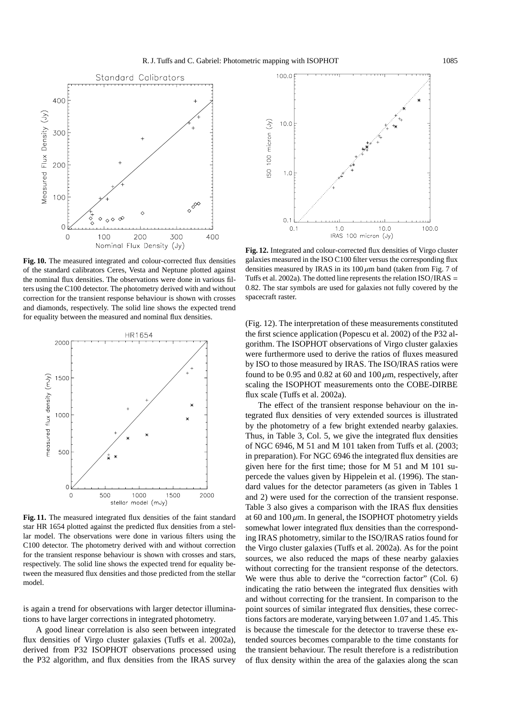

**Fig. 10.** The measured integrated and colour-corrected flux densities of the standard calibrators Ceres, Vesta and Neptune plotted against the nominal flux densities. The observations were done in various filters using the C100 detector. The photometry derived with and without correction for the transient response behaviour is shown with crosses and diamonds, respectively. The solid line shows the expected trend for equality between the measured and nominal flux densities.



**Fig. 11.** The measured integrated flux densities of the faint standard star HR 1654 plotted against the predicted flux densities from a stellar model. The observations were done in various filters using the C100 detector. The photometry derived with and without correction for the transient response behaviour is shown with crosses and stars, respectively. The solid line shows the expected trend for equality between the measured flux densities and those predicted from the stellar model.

is again a trend for observations with larger detector illuminations to have larger corrections in integrated photometry.

A good linear correlation is also seen between integrated flux densities of Virgo cluster galaxies (Tuffs et al. 2002a), derived from P32 ISOPHOT observations processed using the P32 algorithm, and flux densities from the IRAS survey



**Fig. 12.** Integrated and colour-corrected flux densities of Virgo cluster galaxies measured in the ISO C100 filter versus the corresponding flux densities measured by IRAS in its  $100 \mu m$  band (taken from Fig. 7 of Tuffs et al. 2002a). The dotted line represents the relation ISO/IRAS = 0.82. The star symbols are used for galaxies not fully covered by the spacecraft raster.

(Fig. 12). The interpretation of these measurements constituted the first science application (Popescu et al. 2002) of the P32 algorithm. The ISOPHOT observations of Virgo cluster galaxies were furthermore used to derive the ratios of fluxes measured by ISO to those measured by IRAS. The ISO/IRAS ratios were found to be 0.95 and 0.82 at 60 and 100  $\mu$ m, respectively, after scaling the ISOPHOT measurements onto the COBE-DIRBE flux scale (Tuffs et al. 2002a).

The effect of the transient response behaviour on the integrated flux densities of very extended sources is illustrated by the photometry of a few bright extended nearby galaxies. Thus, in Table 3, Col. 5, we give the integrated flux densities of NGC 6946, M 51 and M 101 taken from Tuffs et al. (2003; in preparation). For NGC 6946 the integrated flux densities are given here for the first time; those for M 51 and M 101 supercede the values given by Hippelein et al. (1996). The standard values for the detector parameters (as given in Tables 1 and 2) were used for the correction of the transient response. Table 3 also gives a comparison with the IRAS flux densities at 60 and  $100 \mu m$ . In general, the ISOPHOT photometry yields somewhat lower integrated flux densities than the corresponding IRAS photometry, similar to the ISO/IRAS ratios found for the Virgo cluster galaxies (Tuffs et al. 2002a). As for the point sources, we also reduced the maps of these nearby galaxies without correcting for the transient response of the detectors. We were thus able to derive the "correction factor" (Col. 6) indicating the ratio between the integrated flux densities with and without correcting for the transient. In comparison to the point sources of similar integrated flux densities, these corrections factors are moderate, varying between 1.07 and 1.45. This is because the timescale for the detector to traverse these extended sources becomes comparable to the time constants for the transient behaviour. The result therefore is a redistribution of flux density within the area of the galaxies along the scan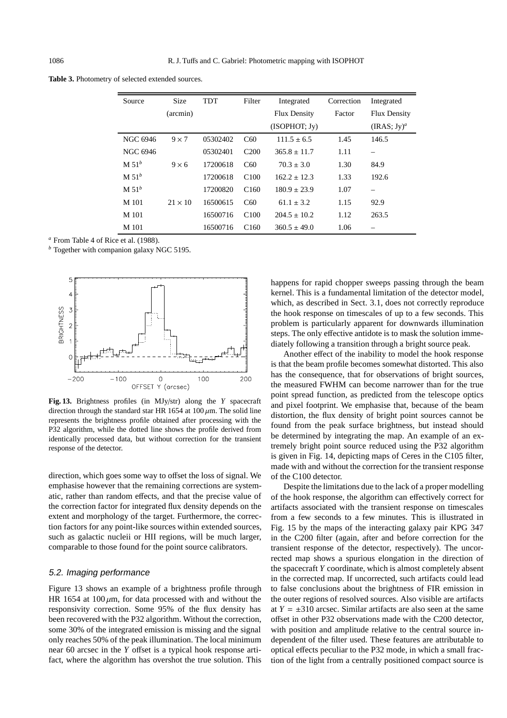**Table 3.** Photometry of selected extended sources.

| Source            | <b>Size</b>    | <b>TDT</b> | Filter           | Integrated          | Correction | Integrated          |
|-------------------|----------------|------------|------------------|---------------------|------------|---------------------|
|                   | (arcmin)       |            |                  | <b>Flux Density</b> | Factor     | <b>Flux Density</b> |
|                   |                |            |                  | (ISOPHOT; Jv)       |            | $(IRAS; Jy)^{a}$    |
| NGC 6946          | $9 \times 7$   | 05302402   | C60              | $111.5 \pm 6.5$     | 1.45       | 146.5               |
| NGC 6946          |                | 05302401   | C <sub>200</sub> | $365.8 \pm 11.7$    | 1.11       |                     |
| M 51 <sup>b</sup> | $9 \times 6$   | 17200618   | C <sub>60</sub>  | $70.3 \pm 3.0$      | 1.30       | 84.9                |
| M 51 <sup>b</sup> |                | 17200618   | C <sub>100</sub> | $162.2 + 12.3$      | 1.33       | 192.6               |
| M 51 <sup>b</sup> |                | 17200820   | C160             | $180.9 \pm 23.9$    | 1.07       |                     |
| M 101             | $21 \times 10$ | 16500615   | C60              | $61.1 \pm 3.2$      | 1.15       | 92.9                |
| M 101             |                | 16500716   | C100             | $204.5 \pm 10.2$    | 1.12       | 263.5               |
| M 101             |                | 16500716   | C160             | $360.5 \pm 49.0$    | 1.06       |                     |

*<sup>a</sup>* From Table 4 of Rice et al. (1988).

*<sup>b</sup>* Together with companion galaxy NGC 5195.



**Fig. 13.** Brightness profiles (in MJy/str) along the *Y* spacecraft direction through the standard star HR 1654 at  $100 \mu$ m. The solid line represents the brightness profile obtained after processing with the P32 algorithm, while the dotted line shows the profile derived from identically processed data, but without correction for the transient response of the detector.

direction, which goes some way to offset the loss of signal. We emphasise however that the remaining corrections are systematic, rather than random effects, and that the precise value of the correction factor for integrated flux density depends on the extent and morphology of the target. Furthermore, the correction factors for any point-like sources within extended sources, such as galactic nucleii or HII regions, will be much larger, comparable to those found for the point source calibrators.

# 5.2. Imaging performance

Figure 13 shows an example of a brightness profile through HR 1654 at  $100 \mu m$ , for data processed with and without the responsivity correction. Some 95% of the flux density has been recovered with the P32 algorithm. Without the correction, some 30% of the integrated emission is missing and the signal only reaches 50% of the peak illumination. The local minimum near 60 arcsec in the *Y* offset is a typical hook response artifact, where the algorithm has overshot the true solution. This happens for rapid chopper sweeps passing through the beam kernel. This is a fundamental limitation of the detector model, which, as described in Sect. 3.1, does not correctly reproduce the hook response on timescales of up to a few seconds. This problem is particularly apparent for downwards illumination steps. The only effective antidote is to mask the solution immediately following a transition through a bright source peak.

Another effect of the inability to model the hook response is that the beam profile becomes somewhat distorted. This also has the consequence, that for observations of bright sources, the measured FWHM can become narrower than for the true point spread function, as predicted from the telescope optics and pixel footprint. We emphasise that, because of the beam distortion, the flux density of bright point sources cannot be found from the peak surface brightness, but instead should be determined by integrating the map. An example of an extremely bright point source reduced using the P32 algorithm is given in Fig. 14, depicting maps of Ceres in the C105 filter, made with and without the correction for the transient response of the C100 detector.

Despite the limitations due to the lack of a proper modelling of the hook response, the algorithm can effectively correct for artifacts associated with the transient response on timescales from a few seconds to a few minutes. This is illustrated in Fig. 15 by the maps of the interacting galaxy pair KPG 347 in the C200 filter (again, after and before correction for the transient response of the detector, respectively). The uncorrected map shows a spurious elongation in the direction of the spacecraft *Y* coordinate, which is almost completely absent in the corrected map. If uncorrected, such artifacts could lead to false conclusions about the brightness of FIR emission in the outer regions of resolved sources. Also visible are artifacts at  $Y = \pm 310$  arcsec. Similar artifacts are also seen at the same offset in other P32 observations made with the C200 detector, with position and amplitude relative to the central source independent of the filter used. These features are attributable to optical effects peculiar to the P32 mode, in which a small fraction of the light from a centrally positioned compact source is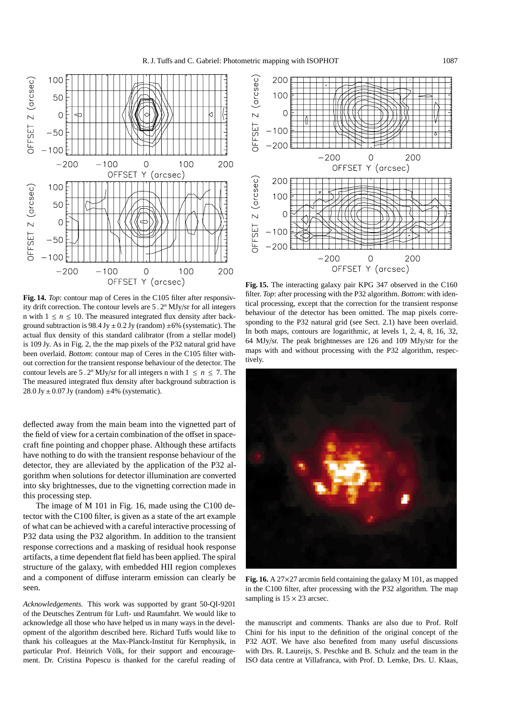

**Fig. 14.** *Top*: contour map of Ceres in the C105 filter after responsivity drift correction. The contour levels are 5 . 2*<sup>n</sup>* MJy/sr for all integers n with  $1 \le n \le 10$ . The measured integrated flux density after background subtraction is 98.4 Jy  $\pm$  0.2 Jy (random)  $\pm$ 6% (systematic). The actual flux density of this standard calibrator (from a stellar model) is 109 Jy. As in Fig. 2, the the map pixels of the P32 natural grid have been overlaid. *Bottom*: contour map of Ceres in the C105 filter without correction for the transient response behaviour of the detector. The contour levels are 5.2<sup>*n*</sup> MJy/sr for all integers n with  $1 \le n \le 7$ . The The measured integrated flux density after background subtraction is  $28.0$  Jy  $\pm$  0.07 Jy (random)  $\pm$ 4% (systematic).

deflected away from the main beam into the vignetted part of the field of view for a certain combination of the offset in spacecraft fine pointing and chopper phase. Although these artifacts have nothing to do with the transient response behaviour of the detector, they are alleviated by the application of the P32 algorithm when solutions for detector illumination are converted into sky brightnesses, due to the vignetting correction made in this processing step.

The image of M 101 in Fig. 16, made using the C100 detector with the C100 filter, is given as a state of the art example of what can be achieved with a careful interactive processing of P32 data using the P32 algorithm. In addition to the transient response corrections and a masking of residual hook response artifacts, a time dependent flat field has been applied. The spiral structure of the galaxy, with embedded HII region complexes and a component of diffuse interarm emission can clearly be seen.

*Acknowledgements.* This work was supported by grant 50-QI-9201 of the Deutsches Zentrum für Luft- und Raumfahrt. We would like to acknowledge all those who have helped us in many ways in the development of the algorithm described here. Richard Tuffs would like to thank his colleagues at the Max-Planck-Institut für Kernphysik, in particular Prof. Heinrich Völk, for their support and encouragement. Dr. Cristina Popescu is thanked for the careful reading of



**Fig. 15.** The interacting galaxy pair KPG 347 observed in the C160 filter. *Top*: after processing with the P32 algorithm. *Bottom*: with identical processing, except that the correction for the transient response behaviour of the detector has been omitted. The map pixels corresponding to the P32 natural grid (see Sect. 2.1) have been overlaid. In both maps, contours are logarithmic, at levels 1, 2, 4, 8, 16, 32, 64 MJy/sr. The peak brightnesses are 126 and 109 MJy/str for the maps with and without processing with the P32 algorithm, respectively.



**Fig. 16.** A 27×27 arcmin field containing the galaxy M 101, as mapped in the C100 filter, after processing with the P32 algorithm. The map sampling is  $15 \times 23$  arcsec.

the manuscript and comments. Thanks are also due to Prof. Rolf Chini for his input to the definition of the original concept of the P32 AOT. We have also benefited from many useful discussions with Drs. R. Laureijs, S. Peschke and B. Schulz and the team in the ISO data centre at Villafranca, with Prof. D. Lemke, Drs. U. Klaas,